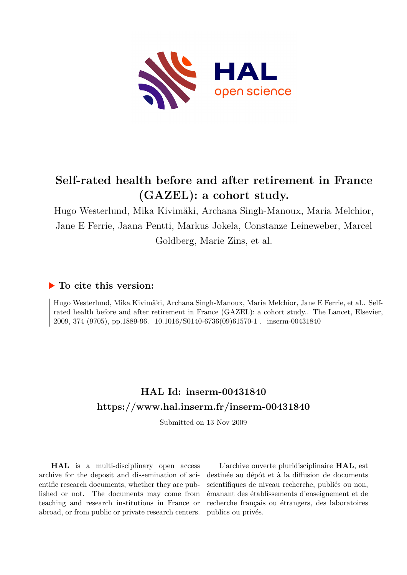

# **Self-rated health before and after retirement in France (GAZEL): a cohort study.**

Hugo Westerlund, Mika Kivimäki, Archana Singh-Manoux, Maria Melchior, Jane E Ferrie, Jaana Pentti, Markus Jokela, Constanze Leineweber, Marcel Goldberg, Marie Zins, et al.

# **To cite this version:**

Hugo Westerlund, Mika Kivimäki, Archana Singh-Manoux, Maria Melchior, Jane E Ferrie, et al.. Selfrated health before and after retirement in France (GAZEL): a cohort study.. The Lancet, Elsevier, 2009, 374 (9705), pp.1889-96. 10.1016/S0140-6736(09)61570-1 . inserm-00431840

# **HAL Id: inserm-00431840 <https://www.hal.inserm.fr/inserm-00431840>**

Submitted on 13 Nov 2009

**HAL** is a multi-disciplinary open access archive for the deposit and dissemination of scientific research documents, whether they are published or not. The documents may come from teaching and research institutions in France or abroad, or from public or private research centers.

L'archive ouverte pluridisciplinaire **HAL**, est destinée au dépôt et à la diffusion de documents scientifiques de niveau recherche, publiés ou non, émanant des établissements d'enseignement et de recherche français ou étrangers, des laboratoires publics ou privés.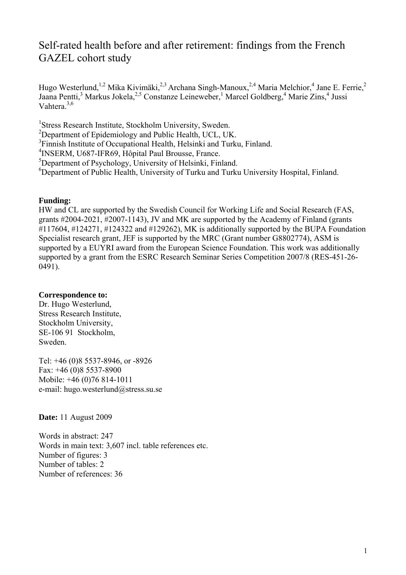# Self-rated health before and after retirement: findings from the French GAZEL cohort study

Hugo Westerlund,<sup>1,2</sup> Mika Kivimäki,<sup>2,3</sup> Archana Singh-Manoux,<sup>2,4</sup> Maria Melchior,<sup>4</sup> Jane E. Ferrie,<sup>2</sup> Jaana Pentti,<sup>3</sup> Markus Jokela,<sup>2,5</sup> Constanze Leineweber,<sup>1</sup> Marcel Goldberg,<sup>4</sup> Marie Zins,<sup>4</sup> Jussi Vahtera  $3,6$ 

<sup>1</sup>Stress Research Institute, Stockholm University, Sweden.

<sup>2</sup>Department of Epidemiology and Public Health, UCL, UK.

<sup>3</sup>Finnish Institute of Occupational Health, Helsinki and Turku, Finland.

4 INSERM, U687-IFR69, Hôpital Paul Brousse, France.

<sup>5</sup>Department of Psychology, University of Helsinki, Finland.

6 Department of Public Health, University of Turku and Turku University Hospital, Finland.

# **Funding:**

HW and CL are supported by the Swedish Council for Working Life and Social Research (FAS, grants #2004-2021, #2007-1143), JV and MK are supported by the Academy of Finland (grants #117604, #124271, #124322 and #129262), MK is additionally supported by the BUPA Foundation Specialist research grant, JEF is supported by the MRC (Grant number G8802774), ASM is supported by a EUYRI award from the European Science Foundation. This work was additionally supported by a grant from the ESRC Research Seminar Series Competition 2007/8 (RES-451-26- 0491).

# **Correspondence to:**

Dr. Hugo Westerlund, Stress Research Institute, Stockholm University, SE-106 91 Stockholm, Sweden.

Tel: +46 (0)8 5537-8946, or -8926 Fax: +46 (0)8 5537-8900 Mobile: +46 (0)76 814-1011 e-mail: hugo.westerlund@stress.su.se

**Date:** 11 August 2009

Words in abstract: 247 Words in main text: 3,607 incl. table references etc. Number of figures: 3 Number of tables: 2 Number of references: 36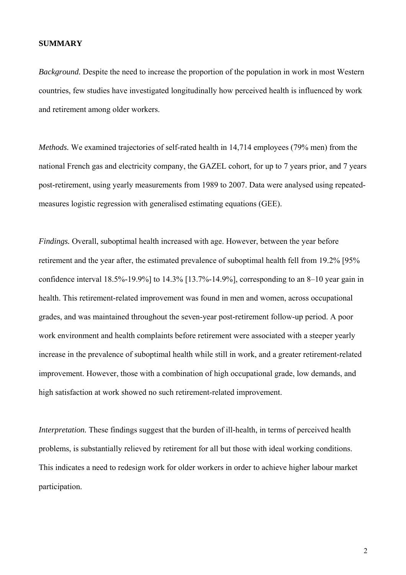#### **SUMMARY**

*Background.* Despite the need to increase the proportion of the population in work in most Western countries, few studies have investigated longitudinally how perceived health is influenced by work and retirement among older workers.

*Methods.* We examined trajectories of self-rated health in 14,714 employees (79% men) from the national French gas and electricity company, the GAZEL cohort, for up to 7 years prior, and 7 years post-retirement, using yearly measurements from 1989 to 2007. Data were analysed using repeatedmeasures logistic regression with generalised estimating equations (GEE).

*Findings.* Overall, suboptimal health increased with age. However, between the year before retirement and the year after, the estimated prevalence of suboptimal health fell from 19.2% [95% confidence interval 18.5%-19.9%] to 14.3% [13.7%-14.9%], corresponding to an 8–10 year gain in health. This retirement-related improvement was found in men and women, across occupational grades, and was maintained throughout the seven-year post-retirement follow-up period. A poor work environment and health complaints before retirement were associated with a steeper yearly increase in the prevalence of suboptimal health while still in work, and a greater retirement-related improvement. However, those with a combination of high occupational grade, low demands, and high satisfaction at work showed no such retirement-related improvement.

*Interpretation*. These findings suggest that the burden of ill-health, in terms of perceived health problems, is substantially relieved by retirement for all but those with ideal working conditions. This indicates a need to redesign work for older workers in order to achieve higher labour market participation.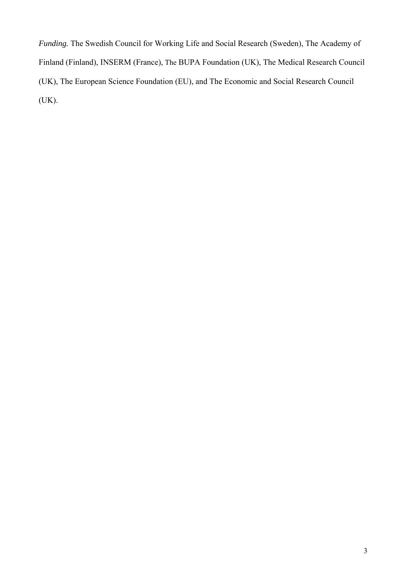*Funding.* The Swedish Council for Working Life and Social Research (Sweden), The Academy of Finland (Finland), INSERM (France), The BUPA Foundation (UK), The Medical Research Council (UK), The European Science Foundation (EU), and The Economic and Social Research Council (UK).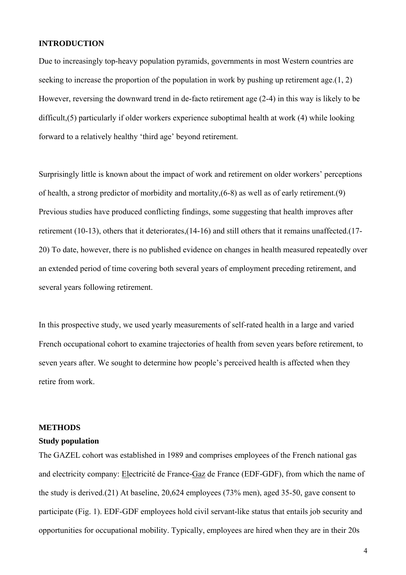# **INTRODUCTION**

Due to increasingly top-heavy population pyramids, governments in most Western countries are seeking to increase the proportion of the population in work by pushing up retirement age.(1, 2) However, reversing the downward trend in de-facto retirement age (2-4) in this way is likely to be difficult,(5) particularly if older workers experience suboptimal health at work (4) while looking forward to a relatively healthy 'third age' beyond retirement.

Surprisingly little is known about the impact of work and retirement on older workers' perceptions of health, a strong predictor of morbidity and mortality,(6-8) as well as of early retirement.(9) Previous studies have produced conflicting findings, some suggesting that health improves after retirement (10-13), others that it deteriorates,(14-16) and still others that it remains unaffected.(17- 20) To date, however, there is no published evidence on changes in health measured repeatedly over an extended period of time covering both several years of employment preceding retirement, and several years following retirement.

In this prospective study, we used yearly measurements of self-rated health in a large and varied French occupational cohort to examine trajectories of health from seven years before retirement, to seven years after. We sought to determine how people's perceived health is affected when they retire from work.

#### **METHODS**

#### **Study population**

The GAZEL cohort was established in 1989 and comprises employees of the French national gas and electricity company: Electricité de France-Gaz de France (EDF-GDF), from which the name of the study is derived.(21) At baseline, 20,624 employees (73% men), aged 35-50, gave consent to participate (Fig. 1). EDF-GDF employees hold civil servant-like status that entails job security and opportunities for occupational mobility. Typically, employees are hired when they are in their 20s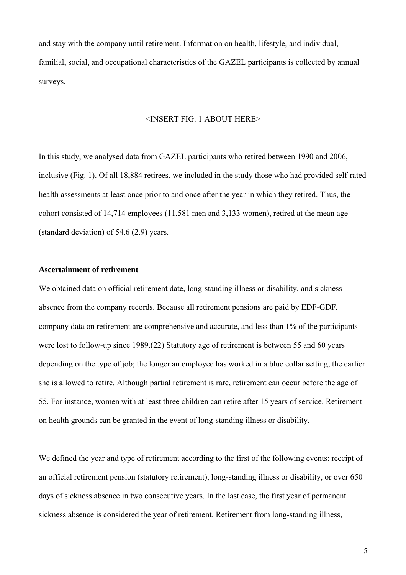and stay with the company until retirement. Information on health, lifestyle, and individual, familial, social, and occupational characteristics of the GAZEL participants is collected by annual surveys.

#### <INSERT FIG. 1 ABOUT HERE>

In this study, we analysed data from GAZEL participants who retired between 1990 and 2006, inclusive (Fig. 1). Of all 18,884 retirees, we included in the study those who had provided self-rated health assessments at least once prior to and once after the year in which they retired. Thus, the cohort consisted of 14,714 employees (11,581 men and 3,133 women), retired at the mean age (standard deviation) of 54.6 (2.9) years.

#### **Ascertainment of retirement**

We obtained data on official retirement date, long-standing illness or disability, and sickness absence from the company records. Because all retirement pensions are paid by EDF-GDF, company data on retirement are comprehensive and accurate, and less than 1% of the participants were lost to follow-up since 1989.(22) Statutory age of retirement is between 55 and 60 years depending on the type of job; the longer an employee has worked in a blue collar setting, the earlier she is allowed to retire. Although partial retirement is rare, retirement can occur before the age of 55. For instance, women with at least three children can retire after 15 years of service. Retirement on health grounds can be granted in the event of long-standing illness or disability.

We defined the year and type of retirement according to the first of the following events: receipt of an official retirement pension (statutory retirement), long-standing illness or disability, or over 650 days of sickness absence in two consecutive years. In the last case, the first year of permanent sickness absence is considered the year of retirement. Retirement from long-standing illness,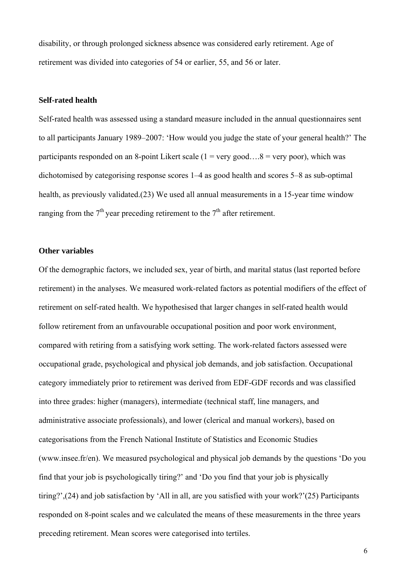disability, or through prolonged sickness absence was considered early retirement. Age of retirement was divided into categories of 54 or earlier, 55, and 56 or later.

#### **Self-rated health**

Self-rated health was assessed using a standard measure included in the annual questionnaires sent to all participants January 1989–2007: 'How would you judge the state of your general health?' The participants responded on an 8-point Likert scale ( $1 = \text{very good} \dots 8 = \text{very poor}$ ), which was dichotomised by categorising response scores 1–4 as good health and scores 5–8 as sub-optimal health, as previously validated.(23) We used all annual measurements in a 15-year time window ranging from the  $7<sup>th</sup>$  year preceding retirement to the  $7<sup>th</sup>$  after retirement.

### **Other variables**

Of the demographic factors, we included sex, year of birth, and marital status (last reported before retirement) in the analyses. We measured work-related factors as potential modifiers of the effect of retirement on self-rated health. We hypothesised that larger changes in self-rated health would follow retirement from an unfavourable occupational position and poor work environment, compared with retiring from a satisfying work setting. The work-related factors assessed were occupational grade, psychological and physical job demands, and job satisfaction. Occupational category immediately prior to retirement was derived from EDF-GDF records and was classified into three grades: higher (managers), intermediate (technical staff, line managers, and administrative associate professionals), and lower (clerical and manual workers), based on categorisations from the French National Institute of Statistics and Economic Studies (www.insee.fr/en). We measured psychological and physical job demands by the questions 'Do you find that your job is psychologically tiring?' and 'Do you find that your job is physically tiring?',(24) and job satisfaction by 'All in all, are you satisfied with your work?'(25) Participants responded on 8-point scales and we calculated the means of these measurements in the three years preceding retirement. Mean scores were categorised into tertiles.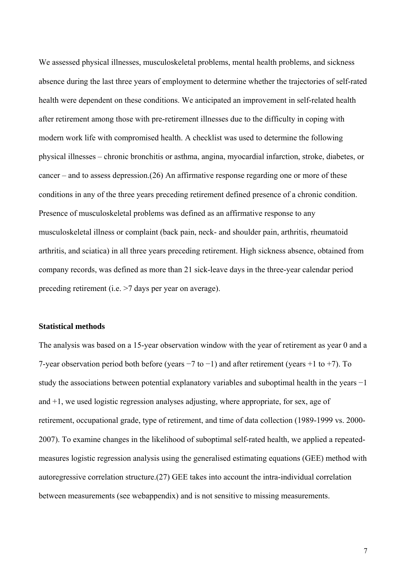We assessed physical illnesses, musculoskeletal problems, mental health problems, and sickness absence during the last three years of employment to determine whether the trajectories of self-rated health were dependent on these conditions. We anticipated an improvement in self-related health after retirement among those with pre-retirement illnesses due to the difficulty in coping with modern work life with compromised health. A checklist was used to determine the following physical illnesses – chronic bronchitis or asthma, angina, myocardial infarction, stroke, diabetes, or cancer – and to assess depression.(26) An affirmative response regarding one or more of these conditions in any of the three years preceding retirement defined presence of a chronic condition. Presence of musculoskeletal problems was defined as an affirmative response to any musculoskeletal illness or complaint (back pain, neck- and shoulder pain, arthritis, rheumatoid arthritis, and sciatica) in all three years preceding retirement. High sickness absence, obtained from company records, was defined as more than 21 sick-leave days in the three-year calendar period preceding retirement (i.e. >7 days per year on average).

#### **Statistical methods**

The analysis was based on a 15-year observation window with the year of retirement as year 0 and a 7-year observation period both before (years −7 to −1) and after retirement (years +1 to +7). To study the associations between potential explanatory variables and suboptimal health in the years −1 and +1, we used logistic regression analyses adjusting, where appropriate, for sex, age of retirement, occupational grade, type of retirement, and time of data collection (1989-1999 vs. 2000- 2007). To examine changes in the likelihood of suboptimal self-rated health, we applied a repeatedmeasures logistic regression analysis using the generalised estimating equations (GEE) method with autoregressive correlation structure.(27) GEE takes into account the intra-individual correlation between measurements (see webappendix) and is not sensitive to missing measurements.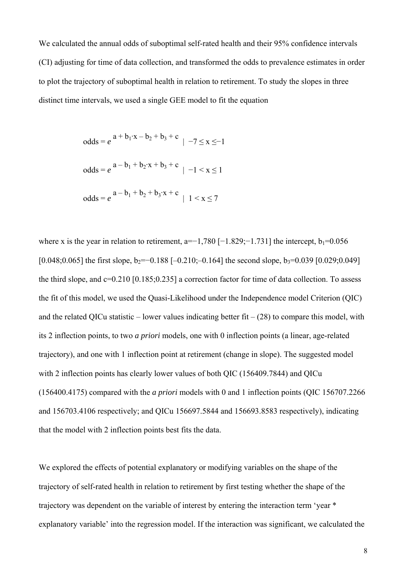We calculated the annual odds of suboptimal self-rated health and their 95% confidence intervals (CI) adjusting for time of data collection, and transformed the odds to prevalence estimates in order to plot the trajectory of suboptimal health in relation to retirement. To study the slopes in three distinct time intervals, we used a single GEE model to fit the equation

odds = 
$$
e^{a + b_1 \cdot x - b_2 + b_3 + c}
$$
 | -7 \le x \le -1  
odds =  $e^{a - b_1 + b_2 \cdot x + b_3 + c}$  | -1 < x \le 1  
odds =  $e^{a - b_1 + b_2 + b_3 \cdot x + c}$  | 1 < x \le 7

where x is the year in relation to retirement, a=−1,780 [−1.829;−1.731] the intercept,  $b_1=0.056$  $[0.048;0.065]$  the first slope, b<sub>2</sub>=−0.188 [-0.210;-0.164] the second slope, b<sub>3</sub>=0.039 [0.029;0.049] the third slope, and c=0.210 [0.185;0.235] a correction factor for time of data collection. To assess the fit of this model, we used the Quasi-Likelihood under the Independence model Criterion (QIC) and the related QICu statistic – lower values indicating better fit –  $(28)$  to compare this model, with its 2 inflection points, to two *a priori* models, one with 0 inflection points (a linear, age-related trajectory), and one with 1 inflection point at retirement (change in slope). The suggested model with 2 inflection points has clearly lower values of both QIC (156409.7844) and QICu (156400.4175) compared with the *a priori* models with 0 and 1 inflection points (QIC 156707.2266 and 156703.4106 respectively; and QICu 156697.5844 and 156693.8583 respectively), indicating that the model with 2 inflection points best fits the data.

We explored the effects of potential explanatory or modifying variables on the shape of the trajectory of self-rated health in relation to retirement by first testing whether the shape of the trajectory was dependent on the variable of interest by entering the interaction term 'year \* explanatory variable' into the regression model. If the interaction was significant, we calculated the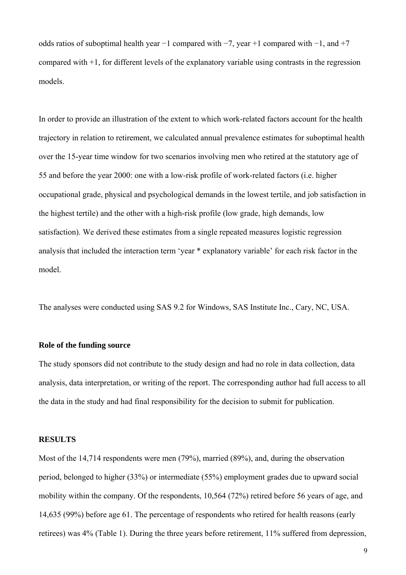odds ratios of suboptimal health year −1 compared with −7, year +1 compared with −1, and +7 compared with +1, for different levels of the explanatory variable using contrasts in the regression models.

In order to provide an illustration of the extent to which work-related factors account for the health trajectory in relation to retirement, we calculated annual prevalence estimates for suboptimal health over the 15-year time window for two scenarios involving men who retired at the statutory age of 55 and before the year 2000: one with a low-risk profile of work-related factors (i.e. higher occupational grade, physical and psychological demands in the lowest tertile, and job satisfaction in the highest tertile) and the other with a high-risk profile (low grade, high demands, low satisfaction). We derived these estimates from a single repeated measures logistic regression analysis that included the interaction term 'year \* explanatory variable' for each risk factor in the model.

The analyses were conducted using SAS 9.2 for Windows, SAS Institute Inc., Cary, NC, USA.

#### **Role of the funding source**

The study sponsors did not contribute to the study design and had no role in data collection, data analysis, data interpretation, or writing of the report. The corresponding author had full access to all the data in the study and had final responsibility for the decision to submit for publication.

#### **RESULTS**

Most of the 14,714 respondents were men (79%), married (89%), and, during the observation period, belonged to higher (33%) or intermediate (55%) employment grades due to upward social mobility within the company. Of the respondents, 10,564 (72%) retired before 56 years of age, and 14,635 (99%) before age 61. The percentage of respondents who retired for health reasons (early retirees) was 4% (Table 1). During the three years before retirement, 11% suffered from depression,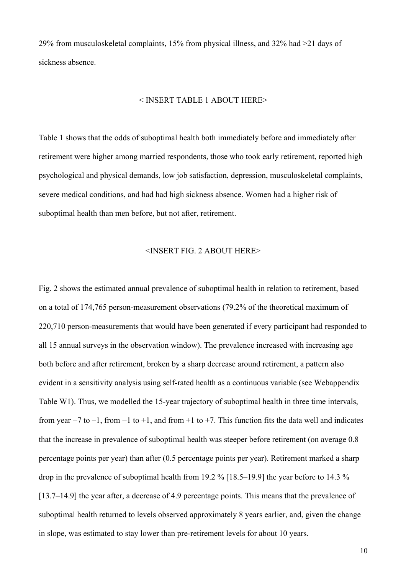29% from musculoskeletal complaints, 15% from physical illness, and 32% had >21 days of sickness absence.

#### < INSERT TABLE 1 ABOUT HERE>

Table 1 shows that the odds of suboptimal health both immediately before and immediately after retirement were higher among married respondents, those who took early retirement, reported high psychological and physical demands, low job satisfaction, depression, musculoskeletal complaints, severe medical conditions, and had had high sickness absence. Women had a higher risk of suboptimal health than men before, but not after, retirement.

### <INSERT FIG. 2 ABOUT HERE>

Fig. 2 shows the estimated annual prevalence of suboptimal health in relation to retirement, based on a total of 174,765 person-measurement observations (79.2% of the theoretical maximum of 220,710 person-measurements that would have been generated if every participant had responded to all 15 annual surveys in the observation window). The prevalence increased with increasing age both before and after retirement, broken by a sharp decrease around retirement, a pattern also evident in a sensitivity analysis using self-rated health as a continuous variable (see Webappendix Table W1). Thus, we modelled the 15-year trajectory of suboptimal health in three time intervals, from year  $-7$  to  $-1$ , from  $-1$  to  $+1$ , and from  $+1$  to  $+7$ . This function fits the data well and indicates that the increase in prevalence of suboptimal health was steeper before retirement (on average 0.8 percentage points per year) than after (0.5 percentage points per year). Retirement marked a sharp drop in the prevalence of suboptimal health from 19.2 % [18.5–19.9] the year before to 14.3 % [13.7–14.9] the year after, a decrease of 4.9 percentage points. This means that the prevalence of suboptimal health returned to levels observed approximately 8 years earlier, and, given the change in slope, was estimated to stay lower than pre-retirement levels for about 10 years.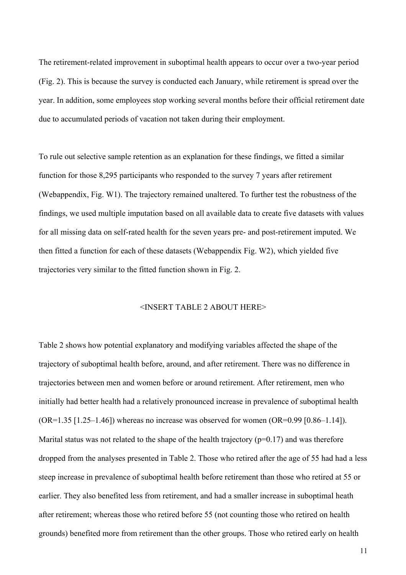The retirement-related improvement in suboptimal health appears to occur over a two-year period (Fig. 2). This is because the survey is conducted each January, while retirement is spread over the year. In addition, some employees stop working several months before their official retirement date due to accumulated periods of vacation not taken during their employment.

To rule out selective sample retention as an explanation for these findings, we fitted a similar function for those 8,295 participants who responded to the survey 7 years after retirement (Webappendix, Fig. W1). The trajectory remained unaltered. To further test the robustness of the findings, we used multiple imputation based on all available data to create five datasets with values for all missing data on self-rated health for the seven years pre- and post-retirement imputed. We then fitted a function for each of these datasets (Webappendix Fig. W2), which yielded five trajectories very similar to the fitted function shown in Fig. 2.

### <INSERT TABLE 2 ABOUT HERE>

Table 2 shows how potential explanatory and modifying variables affected the shape of the trajectory of suboptimal health before, around, and after retirement. There was no difference in trajectories between men and women before or around retirement. After retirement, men who initially had better health had a relatively pronounced increase in prevalence of suboptimal health  $(OR=1.35 \,[1.25-1.46])$  whereas no increase was observed for women  $(OR=0.99 \,[0.86-1.14])$ . Marital status was not related to the shape of the health trajectory ( $p=0.17$ ) and was therefore dropped from the analyses presented in Table 2. Those who retired after the age of 55 had had a less steep increase in prevalence of suboptimal health before retirement than those who retired at 55 or earlier. They also benefited less from retirement, and had a smaller increase in suboptimal heath after retirement; whereas those who retired before 55 (not counting those who retired on health grounds) benefited more from retirement than the other groups. Those who retired early on health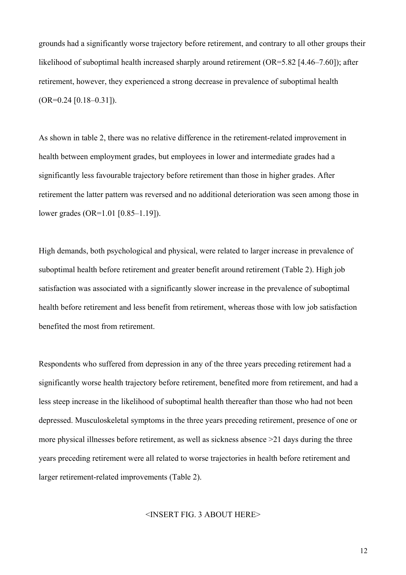grounds had a significantly worse trajectory before retirement, and contrary to all other groups their likelihood of suboptimal health increased sharply around retirement (OR=5.82 [4.46–7.60]); after retirement, however, they experienced a strong decrease in prevalence of suboptimal health  $(OR=0.24 [0.18-0.31]).$ 

As shown in table 2, there was no relative difference in the retirement-related improvement in health between employment grades, but employees in lower and intermediate grades had a significantly less favourable trajectory before retirement than those in higher grades. After retirement the latter pattern was reversed and no additional deterioration was seen among those in lower grades (OR=1.01 [0.85–1.19]).

High demands, both psychological and physical, were related to larger increase in prevalence of suboptimal health before retirement and greater benefit around retirement (Table 2). High job satisfaction was associated with a significantly slower increase in the prevalence of suboptimal health before retirement and less benefit from retirement, whereas those with low job satisfaction benefited the most from retirement.

Respondents who suffered from depression in any of the three years preceding retirement had a significantly worse health trajectory before retirement, benefited more from retirement, and had a less steep increase in the likelihood of suboptimal health thereafter than those who had not been depressed. Musculoskeletal symptoms in the three years preceding retirement, presence of one or more physical illnesses before retirement, as well as sickness absence >21 days during the three years preceding retirement were all related to worse trajectories in health before retirement and larger retirement-related improvements (Table 2).

#### <INSERT FIG. 3 ABOUT HERE>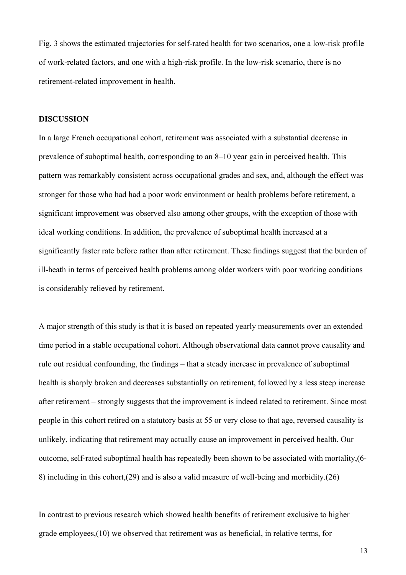Fig. 3 shows the estimated trajectories for self-rated health for two scenarios, one a low-risk profile of work-related factors, and one with a high-risk profile. In the low-risk scenario, there is no retirement-related improvement in health.

### **DISCUSSION**

In a large French occupational cohort, retirement was associated with a substantial decrease in prevalence of suboptimal health, corresponding to an 8–10 year gain in perceived health. This pattern was remarkably consistent across occupational grades and sex, and, although the effect was stronger for those who had had a poor work environment or health problems before retirement, a significant improvement was observed also among other groups, with the exception of those with ideal working conditions. In addition, the prevalence of suboptimal health increased at a significantly faster rate before rather than after retirement. These findings suggest that the burden of ill-heath in terms of perceived health problems among older workers with poor working conditions is considerably relieved by retirement.

A major strength of this study is that it is based on repeated yearly measurements over an extended time period in a stable occupational cohort. Although observational data cannot prove causality and rule out residual confounding, the findings – that a steady increase in prevalence of suboptimal health is sharply broken and decreases substantially on retirement, followed by a less steep increase after retirement – strongly suggests that the improvement is indeed related to retirement. Since most people in this cohort retired on a statutory basis at 55 or very close to that age, reversed causality is unlikely, indicating that retirement may actually cause an improvement in perceived health. Our outcome, self-rated suboptimal health has repeatedly been shown to be associated with mortality,(6- 8) including in this cohort,(29) and is also a valid measure of well-being and morbidity.(26)

In contrast to previous research which showed health benefits of retirement exclusive to higher grade employees,(10) we observed that retirement was as beneficial, in relative terms, for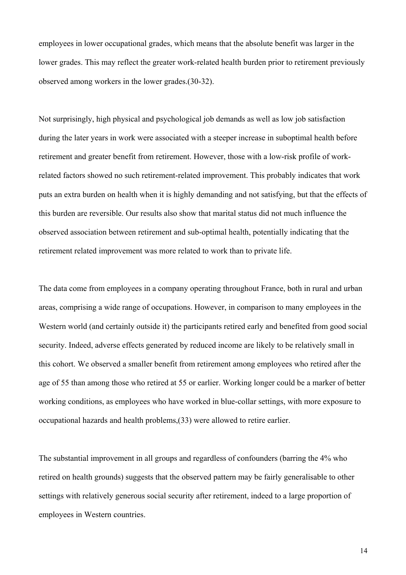employees in lower occupational grades, which means that the absolute benefit was larger in the lower grades. This may reflect the greater work-related health burden prior to retirement previously observed among workers in the lower grades.(30-32).

Not surprisingly, high physical and psychological job demands as well as low job satisfaction during the later years in work were associated with a steeper increase in suboptimal health before retirement and greater benefit from retirement. However, those with a low-risk profile of workrelated factors showed no such retirement-related improvement. This probably indicates that work puts an extra burden on health when it is highly demanding and not satisfying, but that the effects of this burden are reversible. Our results also show that marital status did not much influence the observed association between retirement and sub-optimal health, potentially indicating that the retirement related improvement was more related to work than to private life.

The data come from employees in a company operating throughout France, both in rural and urban areas, comprising a wide range of occupations. However, in comparison to many employees in the Western world (and certainly outside it) the participants retired early and benefited from good social security. Indeed, adverse effects generated by reduced income are likely to be relatively small in this cohort. We observed a smaller benefit from retirement among employees who retired after the age of 55 than among those who retired at 55 or earlier. Working longer could be a marker of better working conditions, as employees who have worked in blue-collar settings, with more exposure to occupational hazards and health problems,(33) were allowed to retire earlier.

The substantial improvement in all groups and regardless of confounders (barring the 4% who retired on health grounds) suggests that the observed pattern may be fairly generalisable to other settings with relatively generous social security after retirement, indeed to a large proportion of employees in Western countries.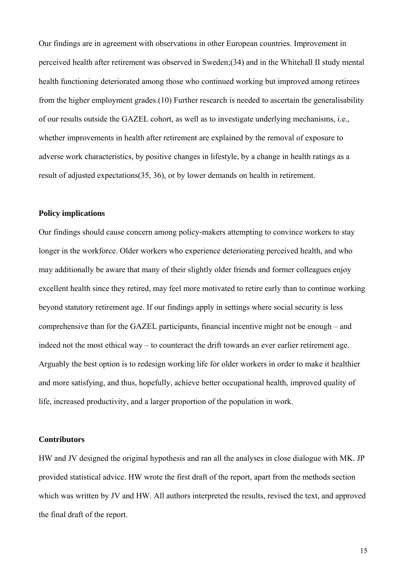Our findings are in agreement with observations in other European countries. Improvement in perceived health after retirement was observed in Sweden;(34) and in the Whitehall II study mental health functioning deteriorated among those who continued working but improved among retirees from the higher employment grades.(10) Further research is needed to ascertain the generalisability of our results outside the GAZEL cohort, as well as to investigate underlying mechanisms, i.e., whether improvements in health after retirement are explained by the removal of exposure to adverse work characteristics, by positive changes in lifestyle, by a change in health ratings as a result of adjusted expectations(35, 36), or by lower demands on health in retirement.

#### **Policy implications**

Our findings should cause concern among policy-makers attempting to convince workers to stay longer in the workforce. Older workers who experience deteriorating perceived health, and who may additionally be aware that many of their slightly older friends and former colleagues enjoy excellent health since they retired, may feel more motivated to retire early than to continue working beyond statutory retirement age. If our findings apply in settings where social security is less comprehensive than for the GAZEL participants, financial incentive might not be enough – and indeed not the most ethical way – to counteract the drift towards an ever earlier retirement age. Arguably the best option is to redesign working life for older workers in order to make it healthier and more satisfying, and thus, hopefully, achieve better occupational health, improved quality of life, increased productivity, and a larger proportion of the population in work.

#### **Contributors**

HW and JV designed the original hypothesis and ran all the analyses in close dialogue with MK. JP provided statistical advice. HW wrote the first draft of the report, apart from the methods section which was written by JV and HW. All authors interpreted the results, revised the text, and approved the final draft of the report.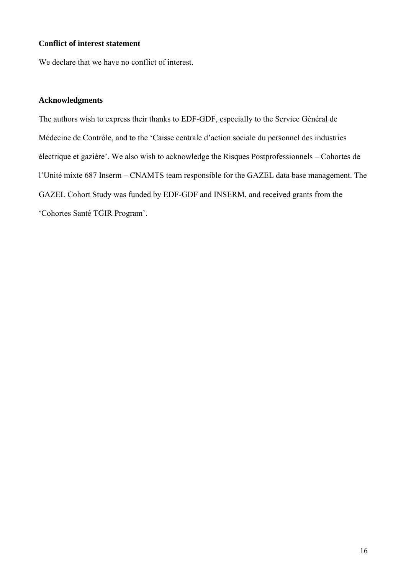# **Conflict of interest statement**

We declare that we have no conflict of interest.

#### **Acknowledgments**

The authors wish to express their thanks to EDF-GDF, especially to the Service Général de Médecine de Contrôle, and to the 'Caisse centrale d'action sociale du personnel des industries électrique et gazière'. We also wish to acknowledge the Risques Postprofessionnels – Cohortes de l'Unité mixte 687 Inserm – CNAMTS team responsible for the GAZEL data base management. The GAZEL Cohort Study was funded by EDF-GDF and INSERM, and received grants from the 'Cohortes Santé TGIR Program'.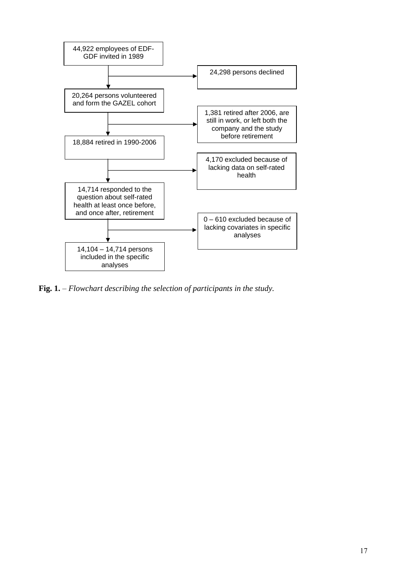

**Fig. 1.** – *Flowchart describing the selection of participants in the study.*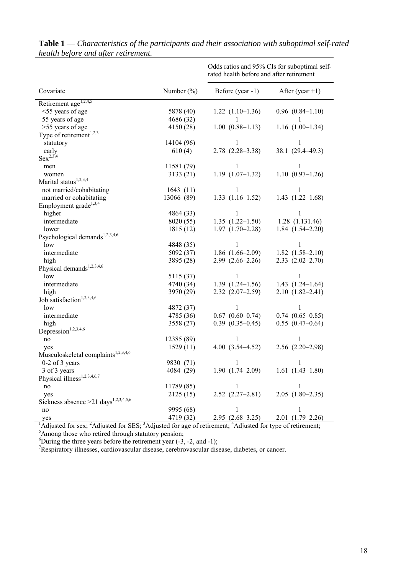|                                                        |                        | Odds ratios and 95% CIs for suboptimal self-<br>rated health before and after retirement |                        |  |  |
|--------------------------------------------------------|------------------------|------------------------------------------------------------------------------------------|------------------------|--|--|
| Covariate                                              | Number $(\% )$         | Before (year -1)                                                                         | After (year $+1$ )     |  |  |
| Retirement age <sup>1,2,4,5</sup>                      |                        |                                                                                          |                        |  |  |
| <55 years of age                                       | 5878 (40)              | $1.22(1.10-1.36)$                                                                        | $0.96$ $(0.84-1.10)$   |  |  |
| 55 years of age                                        | 4686 (32)              | L                                                                                        |                        |  |  |
| >55 years of age                                       | 4150 (28)              | $1.00(0.88 - 1.13)$                                                                      | $1.16(1.00-1.34)$      |  |  |
| Type of retirement $1,2,3$                             |                        |                                                                                          |                        |  |  |
| statutory                                              | 14104 (96)             | 1                                                                                        | L                      |  |  |
| early                                                  | 610(4)                 | $2.78$ $(2.28-3.38)$                                                                     | 38.1 (29.4-49.3)       |  |  |
| $Sex^{2,3,4}$                                          |                        |                                                                                          |                        |  |  |
| men                                                    | 11581 (79)             | 1                                                                                        | 1                      |  |  |
| women                                                  | 3133(21)               | $1.19(1.07-1.32)$                                                                        | $1.10(0.97-1.26)$      |  |  |
| Marital status <sup>1,2,3,4</sup>                      |                        |                                                                                          |                        |  |  |
| not married/cohabitating                               | 1643(11)               | $\mathbf{1}$                                                                             | 1                      |  |  |
| married or cohabitating                                | 13066 (89)             | $1.33(1.16-1.52)$                                                                        | $1.43(1.22 - 1.68)$    |  |  |
| Employment grade <sup>1,3,4</sup>                      |                        |                                                                                          |                        |  |  |
| higher                                                 | 4864 (33)              | 1                                                                                        | 1                      |  |  |
| intermediate                                           | 8020 (55)              | $1.35(1.22 - 1.50)$                                                                      | $1.28$ $(1.131.46)$    |  |  |
| lower                                                  | 1815(12)               | $1.97(1.70-2.28)$                                                                        | $1.84(1.54 - 2.20)$    |  |  |
| Psychological demands <sup>1,2,3,4,6</sup>             |                        |                                                                                          |                        |  |  |
| low                                                    | 4848 (35)              | 1                                                                                        | 1                      |  |  |
| intermediate                                           | 5092(37)               | $1.86$ $(1.66-2.09)$                                                                     | $1.82(1.58-2.10)$      |  |  |
| high                                                   | 3895 (28)              | $2.99(2.66-2.26)$                                                                        | $2.33$ $(2.02 - 2.70)$ |  |  |
| Physical demands <sup>1,2,3,4,6</sup>                  |                        |                                                                                          |                        |  |  |
| low                                                    | 5115 (37)              | $\mathbf{1}$                                                                             | $\mathbf{1}$           |  |  |
| intermediate                                           | 4740 (34)              | $1.39(1.24-1.56)$                                                                        | $1.43(1.24 - 1.64)$    |  |  |
| high                                                   | 3970 (29)              | $2.32(2.07-2.59)$                                                                        | $2.10(1.82 - 2.41)$    |  |  |
| Job satisfaction <sup>1,2,3,4,6</sup>                  |                        |                                                                                          |                        |  |  |
| low                                                    | 4872 (37)              | 1                                                                                        | 1                      |  |  |
| intermediate                                           | 4785 (36)              | $0.67$ $(0.60-0.74)$                                                                     | $0.74$ $(0.65 - 0.85)$ |  |  |
| high                                                   | 3558 (27)              | $0.39$ $(0.35-0.45)$                                                                     | $0.55$ $(0.47-0.64)$   |  |  |
| Depression <sup>1,2,3,4,6</sup>                        |                        |                                                                                          |                        |  |  |
| $\rm no$                                               | 12385 (89)             | 1                                                                                        | 1                      |  |  |
| yes<br>Musculoskeletal complaints <sup>1,2,3,4,6</sup> | 1529(11)               | $4.00(3.54 - 4.52)$                                                                      | $2.56$ $(2.20-2.98)$   |  |  |
| 0-2 of 3 years                                         |                        |                                                                                          |                        |  |  |
| 3 of 3 years                                           | 9830 (71)<br>4084 (29) | 1<br>$1.90(1.74 - 2.09)$                                                                 | 1<br>$1.61(1.43-1.80)$ |  |  |
| Physical illness <sup>1,2,3,4,6,7</sup>                |                        |                                                                                          |                        |  |  |
|                                                        | 11789(85)              | $\mathbf{1}$                                                                             | 1                      |  |  |
| no<br>yes                                              | 2125(15)               | $2.52$ $(2.27-2.81)$                                                                     | $2.05(1.80-2.35)$      |  |  |
| Sickness absence $>21$ days <sup>1,2,3,4,5,6</sup>     |                        |                                                                                          |                        |  |  |
|                                                        | 9995 (68)              | 1                                                                                        | 1                      |  |  |
| no<br>yes                                              | 4719 (32)              | $2.95(2.68-3.25)$                                                                        | $2.01(1.79-2.26)$      |  |  |
|                                                        |                        |                                                                                          |                        |  |  |

**Table 1** — *Characteristics of the participants and their association with suboptimal self-rated health before and after retirement.* 

yes 4719 (32) 2.95 (2.68–3.25) 2.01 (1.79–2.26)<br><sup>1</sup>Adjusted for sex; <sup>2</sup>Adjusted for SES; <sup>3</sup>Adjusted for age of retirement; <sup>4</sup>Adjusted for type of retirement;<br><sup>5</sup>Among those who retired through statutory pension;<br><sup>6</sup>Dur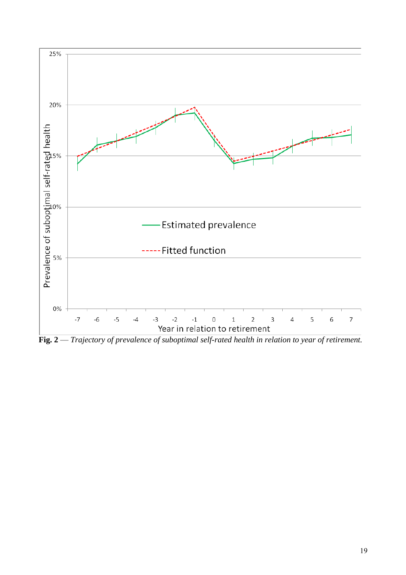

**Fig. 2** — *Trajectory of prevalence of suboptimal self-rated health in relation to year of retirement.*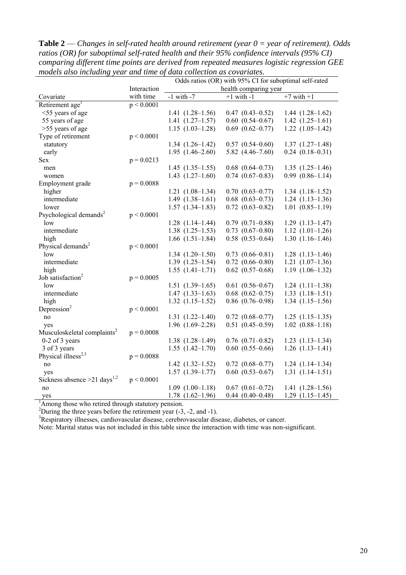| models also including year and time of data collection as covariates. |              |                                                        |                        |                      |  |  |
|-----------------------------------------------------------------------|--------------|--------------------------------------------------------|------------------------|----------------------|--|--|
|                                                                       |              | Odds ratios (OR) with 95% CI for suboptimal self-rated |                        |                      |  |  |
|                                                                       | Interaction  | health comparing year                                  |                        |                      |  |  |
| Covariate                                                             | with time    | $-1$ with $-7$                                         | $+1$ with $-1$         | $+7$ with $+1$       |  |  |
| Retirement age <sup>1</sup>                                           | p < 0.0001   |                                                        |                        |                      |  |  |
| <55 years of age                                                      |              | $1.41(1.28-1.56)$                                      | $0.47$ $(0.43 - 0.52)$ | $1.44(1.28-1.62)$    |  |  |
| 55 years of age                                                       |              | $1.41(1.27-1.57)$                                      | $0.60$ $(0.54 - 0.67)$ | $1.42(1.25-1.61)$    |  |  |
| >55 years of age                                                      |              | $1.15(1.03-1.28)$                                      | $0.69$ $(0.62 - 0.77)$ | $1.22$ $(1.05-1.42)$ |  |  |
| Type of retirement                                                    | p < 0.0001   |                                                        |                        |                      |  |  |
| statutory                                                             |              | $1.34(1.26-1.42)$                                      | $0.57$ $(0.54-0.60)$   | $1.37(1.27-1.48)$    |  |  |
| early                                                                 |              | $1.95(1.46-2.60)$                                      | $5.82(4.46 - 7.60)$    | $0.24$ $(0.18-0.31)$ |  |  |
| <b>Sex</b>                                                            | $p = 0.0213$ |                                                        |                        |                      |  |  |
| men                                                                   |              | $1.45(1.35-1.55)$                                      | $0.68$ $(0.64 - 0.73)$ | $1.35(1.25-1.46)$    |  |  |
| women                                                                 |              | $1.43(1.27-1.60)$                                      | $0.74$ $(0.67-0.83)$   | $0.99(0.86 - 1.14)$  |  |  |
| Employment grade                                                      | $p = 0.0088$ |                                                        |                        |                      |  |  |
| higher                                                                |              | $1.21(1.08-1.34)$                                      | $0.70$ $(0.63 - 0.77)$ | $1.34(1.18-1.52)$    |  |  |
| intermediate                                                          |              | $1.49(1.38-1.61)$                                      | $0.68$ $(0.63 - 0.73)$ | $1.24(1.13-1.36)$    |  |  |
| lower                                                                 |              | $1.57(1.34-1.83)$                                      | $0.72$ $(0.63 - 0.82)$ | $1.01(0.85-1.19)$    |  |  |
| Psychological demands <sup>2</sup>                                    | p < 0.0001   |                                                        |                        |                      |  |  |
| low                                                                   |              | $1.28$ $(1.14-1.44)$                                   | $0.79$ $(0.71-0.88)$   | $1.29(1.13 - 1.47)$  |  |  |
| intermediate                                                          |              | $1.38(1.25-1.53)$                                      | $0.73$ $(0.67-0.80)$   | $1.12(1.01-1.26)$    |  |  |
| high                                                                  |              | $1.66$ $(1.51-1.84)$                                   | $0.58$ $(0.53-0.64)$   | $1.30(1.16-1.46)$    |  |  |
| Physical demands <sup>2</sup>                                         | p < 0.0001   |                                                        |                        |                      |  |  |
| low                                                                   |              | $1.34(1.20-1.50)$                                      | $0.73$ $(0.66-0.81)$   | $1.28$ $(1.13-1.46)$ |  |  |
| intermediate                                                          |              | $1.39(1.25-1.54)$                                      | $0.72$ $(0.66-0.80)$   | $1.21(1.07-1.36)$    |  |  |
| high                                                                  |              | $1.55(1.41-1.71)$                                      | $0.62$ $(0.57-0.68)$   | $1.19(1.06-1.32)$    |  |  |
| Job satisfaction <sup>2</sup>                                         | $p = 0.0005$ |                                                        |                        |                      |  |  |
| low                                                                   |              | $1.51(1.39-1.65)$                                      | $0.61$ $(0.56-0.67)$   | $1.24(1.11-1.38)$    |  |  |
| intermediate                                                          |              | $1.47(1.33-1.63)$                                      | $0.68$ $(0.62 - 0.75)$ | $1.33(1.18-1.51)$    |  |  |
| high                                                                  |              | $1.32(1.15-1.52)$                                      | $0.86$ $(0.76-0.98)$   | $1.34(1.15-1.56)$    |  |  |
| Depression <sup>2</sup>                                               | p < 0.0001   |                                                        |                        |                      |  |  |
| no                                                                    |              | $1.31(1.22 - 1.40)$                                    | $0.72$ $(0.68 - 0.77)$ | $1.25(1.15-1.35)$    |  |  |
|                                                                       |              | $1.96$ $(1.69-2.28)$                                   | $0.51(0.45-0.59)$      | $1.02$ $(0.88-1.18)$ |  |  |
| yes<br>Musculoskeletal complaints <sup>2</sup>                        | $p = 0.0008$ |                                                        |                        |                      |  |  |
|                                                                       |              | $1.38(1.28-1.49)$                                      | $0.76$ $(0.71-0.82)$   | $1.23(1.13-1.34)$    |  |  |
| 0-2 of 3 years                                                        |              |                                                        | $0.60$ $(0.55-0.66)$   | $1.26$ $(1.13-1.41)$ |  |  |
| 3 of 3 years                                                          |              | $1.55(1.42 - 1.70)$                                    |                        |                      |  |  |
| Physical illness <sup>2,3</sup>                                       | $p = 0.0088$ |                                                        |                        |                      |  |  |
| no                                                                    |              | $1.42(1.32 - 1.52)$                                    | $0.72$ $(0.68 - 0.77)$ | $1.24(1.14-1.34)$    |  |  |
| yes                                                                   |              | $1.57$ $(1.39-1.77)$                                   | $0.60$ $(0.53-0.67)$   | $1.31(1.14-1.51)$    |  |  |
| Sickness absence $>21$ days <sup>1,2</sup>                            | p < 0.0001   |                                                        |                        |                      |  |  |
| no                                                                    |              | $1.09(1.00-1.18)$                                      | $0.67$ $(0.61 - 0.72)$ | $1.41(1.28-1.56)$    |  |  |
| yes                                                                   |              | $1.78$ $(1.62-1.96)$                                   | $0.44(0.40-0.48)$      | $1.29$ $(1.15-1.45)$ |  |  |
| Among those who retired through statutory pension.                    |              |                                                        |                        |                      |  |  |

**Table 2** — *Changes in self-rated health around retirement (year 0 = year of retirement). Odds ratios (OR) for suboptimal self-rated health and their 95% confidence intervals (95% CI) comparing different time points are derived from repeated measures logistic regression GEE models also including year and time of data collection as covariates.*

 ${}^{2}$ During the three years before the retirement year (-3, -2, and -1).  ${}^{3}$ B contratory illnesses, excludes disease, excluding disease.

<sup>3</sup>Respiratory illnesses, cardiovascular disease, cerebrovascular disease, diabetes, or cancer.

Note: Marital status was not included in this table since the interaction with time was non-significant.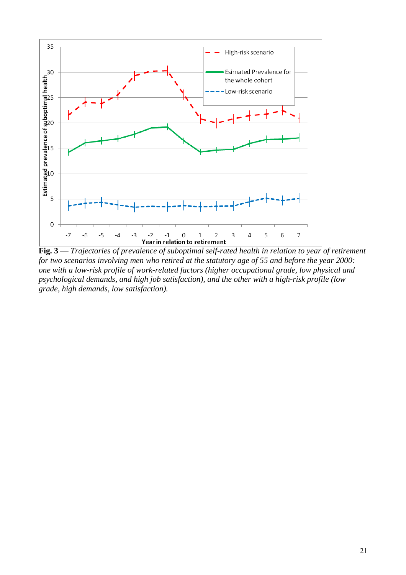

**Fig. 3** — *Trajectories of prevalence of suboptimal self-rated health in relation to year of retirement for two scenarios involving men who retired at the statutory age of 55 and before the year 2000: one with a low-risk profile of work-related factors (higher occupational grade, low physical and psychological demands, and high job satisfaction), and the other with a high-risk profile (low grade, high demands, low satisfaction).*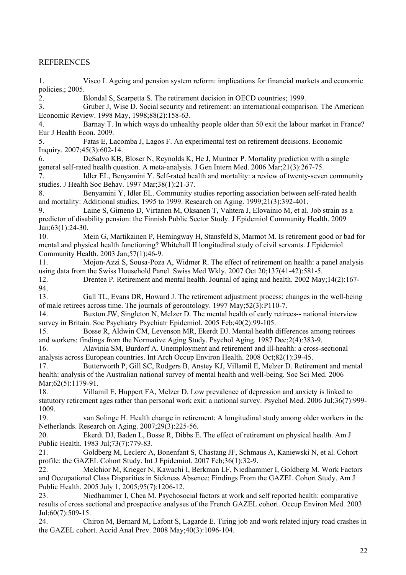# REFERENCES

1. Visco I. Ageing and pension system reform: implications for financial markets and economic policies.; 2005.

2. Blondal S, Scarpetta S. The retirement decision in OECD countries; 1999.

3. Gruber J, Wise D. Social security and retirement: an international comparison. The American Economic Review. 1998 May, 1998;88(2):158-63.

4. Barnay T. In which ways do unhealthy people older than 50 exit the labour market in France? Eur J Health Econ. 2009.

5. Fatas E, Lacomba J, Lagos F. An experimental test on retirement decisions. Economic Inquiry. 2007;45(3):602-14.

6. DeSalvo KB, Bloser N, Reynolds K, He J, Muntner P. Mortality prediction with a single general self-rated health question. A meta-analysis. J Gen Intern Med. 2006 Mar;21(3):267-75.

7. Idler EL, Benyamini Y. Self-rated health and mortality: a review of twenty-seven community studies. J Health Soc Behav. 1997 Mar;38(1):21-37.

8. Benyamini Y, Idler EL. Community studies reporting association between self-rated health and mortality: Additional studies, 1995 to 1999. Research on Aging. 1999;21(3):392-401.

9. Laine S, Gimeno D, Virtanen M, Oksanen T, Vahtera J, Elovainio M, et al. Job strain as a predictor of disability pension: the Finnish Public Sector Study. J Epidemiol Community Health. 2009 Jan;63(1):24-30.

10. Mein G, Martikainen P, Hemingway H, Stansfeld S, Marmot M. Is retirement good or bad for mental and physical health functioning? Whitehall II longitudinal study of civil servants. J Epidemiol Community Health. 2003 Jan;57(1):46-9.

11. Mojon-Azzi S, Sousa-Poza A, Widmer R. The effect of retirement on health: a panel analysis using data from the Swiss Household Panel. Swiss Med Wkly. 2007 Oct 20;137(41-42):581-5.

12. Drentea P. Retirement and mental health. Journal of aging and health. 2002 May;14(2):167- 94.

13. Gall TL, Evans DR, Howard J. The retirement adjustment process: changes in the well-being of male retirees across time. The journals of gerontology. 1997 May;52(3):P110-7.

14. Buxton JW, Singleton N, Melzer D. The mental health of early retirees-- national interview survey in Britain. Soc Psychiatry Psychiatr Epidemiol. 2005 Feb;40(2):99-105.

15. Bosse R, Aldwin CM, Levenson MR, Ekerdt DJ. Mental health differences among retirees and workers: findings from the Normative Aging Study. Psychol Aging. 1987 Dec;2(4):383-9.

16. Alavinia SM, Burdorf A. Unemployment and retirement and ill-health: a cross-sectional analysis across European countries. Int Arch Occup Environ Health. 2008 Oct;82(1):39-45.

17. Butterworth P, Gill SC, Rodgers B, Anstey KJ, Villamil E, Melzer D. Retirement and mental health: analysis of the Australian national survey of mental health and well-being. Soc Sci Med. 2006 Mar; 62(5): 1179-91.

18. Villamil E, Huppert FA, Melzer D. Low prevalence of depression and anxiety is linked to statutory retirement ages rather than personal work exit: a national survey. Psychol Med. 2006 Jul;36(7):999- 1009.

19. van Solinge H. Health change in retirement: A longitudinal study among older workers in the Netherlands. Research on Aging. 2007;29(3):225-56.

20. Ekerdt DJ, Baden L, Bosse R, Dibbs E. The effect of retirement on physical health. Am J Public Health. 1983 Jul;73(7):779-83.

21. Goldberg M, Leclerc A, Bonenfant S, Chastang JF, Schmaus A, Kaniewski N, et al. Cohort profile: the GAZEL Cohort Study. Int J Epidemiol. 2007 Feb;36(1):32-9.

22. Melchior M, Krieger N, Kawachi I, Berkman LF, Niedhammer I, Goldberg M. Work Factors and Occupational Class Disparities in Sickness Absence: Findings From the GAZEL Cohort Study. Am J Public Health. 2005 July 1, 2005;95(7):1206-12.

23. Niedhammer I, Chea M. Psychosocial factors at work and self reported health: comparative results of cross sectional and prospective analyses of the French GAZEL cohort. Occup Environ Med. 2003  $Jul:60(7):509-15$ .

24. Chiron M, Bernard M, Lafont S, Lagarde E. Tiring job and work related injury road crashes in the GAZEL cohort. Accid Anal Prev. 2008 May;40(3):1096-104.